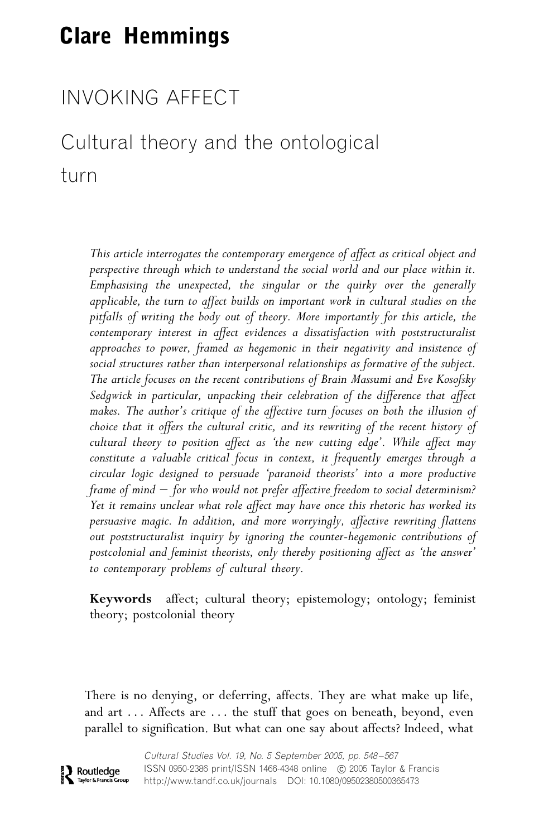# Clare Hemmings

# INVOKING AFFECT

# Cultural theory and the ontological turn

This article interrogates the contemporary emergence of affect as critical object and perspective through which to understand the social world and our place within it. Emphasising the unexpected, the singular or the quirky over the generally applicable, the turn to affect builds on important work in cultural studies on the pitfalls of writing the body out of theory. More importantly for this article, the contemporary interest in affect evidences a dissatisfaction with poststructuralist approaches to power, framed as hegemonic in their negativity and insistence of social structures rather than interpersonal relationships as formative of the subject. The article focuses on the recent contributions of Brain Massumi and Eve Kosofsky Sedgwick in particular, unpacking their celebration of the difference that affect makes. The author's critique of the affective turn focuses on both the illusion of choice that it offers the cultural critic, and its rewriting of the recent history of cultural theory to position affect as 'the new cutting edge'. While affect may constitute a valuable critical focus in context, it frequently emerges through a circular logic designed to persuade 'paranoid theorists' into a more productive frame of mind  $-$  for who would not prefer affective freedom to social determinism? Yet it remains unclear what role affect may have once this rhetoric has worked its persuasive magic. In addition, and more worryingly, affective rewriting flattens out poststructuralist inquiry by ignoring the counter-hegemonic contributions of postcolonial and feminist theorists, only thereby positioning affect as 'the answer' to contemporary problems of cultural theory.

Keywords affect; cultural theory; epistemology; ontology; feminist theory; postcolonial theory

There is no denying, or deferring, affects. They are what make up life, and art ... Affects are ... the stuff that goes on beneath, beyond, even parallel to signification. But what can one say about affects? Indeed, what

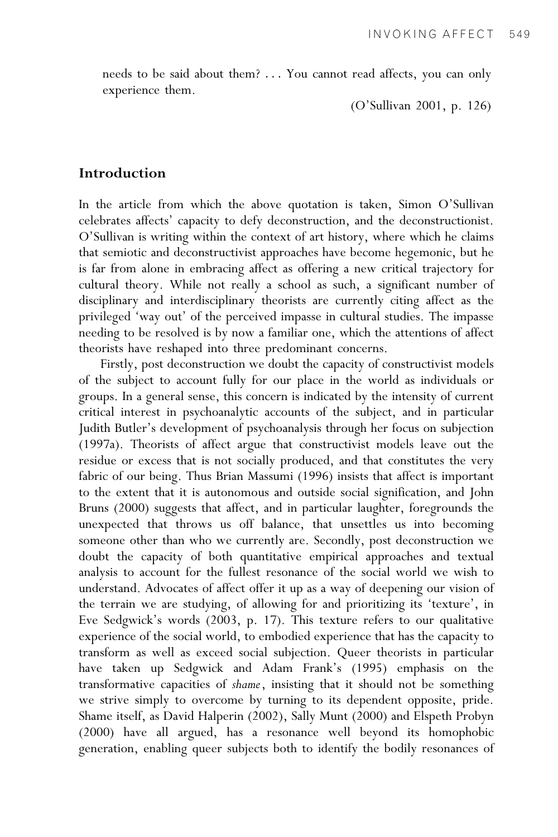needs to be said about them? ... You cannot read affects, you can only experience them.

(O'Sullivan 2001, p. 126)

## Introduction

In the article from which the above quotation is taken, Simon O'Sullivan celebrates affects' capacity to defy deconstruction, and the deconstructionist. O'Sullivan is writing within the context of art history, where which he claims that semiotic and deconstructivist approaches have become hegemonic, but he is far from alone in embracing affect as offering a new critical trajectory for cultural theory. While not really a school as such, a significant number of disciplinary and interdisciplinary theorists are currently citing affect as the privileged 'way out' of the perceived impasse in cultural studies. The impasse needing to be resolved is by now a familiar one, which the attentions of affect theorists have reshaped into three predominant concerns.

Firstly, post deconstruction we doubt the capacity of constructivist models of the subject to account fully for our place in the world as individuals or groups. In a general sense, this concern is indicated by the intensity of current critical interest in psychoanalytic accounts of the subject, and in particular Judith Butler's development of psychoanalysis through her focus on subjection (1997a). Theorists of affect argue that constructivist models leave out the residue or excess that is not socially produced, and that constitutes the very fabric of our being. Thus Brian Massumi (1996) insists that affect is important to the extent that it is autonomous and outside social signification, and John Bruns (2000) suggests that affect, and in particular laughter, foregrounds the unexpected that throws us off balance, that unsettles us into becoming someone other than who we currently are. Secondly, post deconstruction we doubt the capacity of both quantitative empirical approaches and textual analysis to account for the fullest resonance of the social world we wish to understand. Advocates of affect offer it up as a way of deepening our vision of the terrain we are studying, of allowing for and prioritizing its 'texture', in Eve Sedgwick's words (2003, p. 17). This texture refers to our qualitative experience of the social world, to embodied experience that has the capacity to transform as well as exceed social subjection. Queer theorists in particular have taken up Sedgwick and Adam Frank's (1995) emphasis on the transformative capacities of shame, insisting that it should not be something we strive simply to overcome by turning to its dependent opposite, pride. Shame itself, as David Halperin (2002), Sally Munt (2000) and Elspeth Probyn (2000) have all argued, has a resonance well beyond its homophobic generation, enabling queer subjects both to identify the bodily resonances of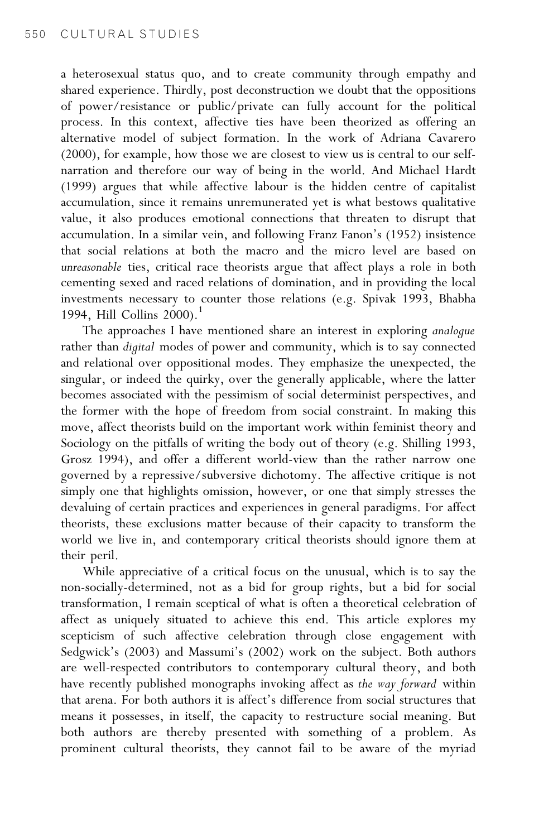a heterosexual status quo, and to create community through empathy and shared experience. Thirdly, post deconstruction we doubt that the oppositions of power/resistance or public/private can fully account for the political process. In this context, affective ties have been theorized as offering an alternative model of subject formation. In the work of Adriana Cavarero (2000), for example, how those we are closest to view us is central to our selfnarration and therefore our way of being in the world. And Michael Hardt (1999) argues that while affective labour is the hidden centre of capitalist accumulation, since it remains unremunerated yet is what bestows qualitative value, it also produces emotional connections that threaten to disrupt that accumulation. In a similar vein, and following Franz Fanon's (1952) insistence that social relations at both the macro and the micro level are based on unreasonable ties, critical race theorists argue that affect plays a role in both cementing sexed and raced relations of domination, and in providing the local investments necessary to counter those relations (e.g. Spivak 1993, Bhabha 1994, Hill Collins  $2000$ .<sup>1</sup>

The approaches I have mentioned share an interest in exploring analogue rather than digital modes of power and community, which is to say connected and relational over oppositional modes. They emphasize the unexpected, the singular, or indeed the quirky, over the generally applicable, where the latter becomes associated with the pessimism of social determinist perspectives, and the former with the hope of freedom from social constraint. In making this move, affect theorists build on the important work within feminist theory and Sociology on the pitfalls of writing the body out of theory (e.g. Shilling 1993, Grosz 1994), and offer a different world-view than the rather narrow one governed by a repressive/subversive dichotomy. The affective critique is not simply one that highlights omission, however, or one that simply stresses the devaluing of certain practices and experiences in general paradigms. For affect theorists, these exclusions matter because of their capacity to transform the world we live in, and contemporary critical theorists should ignore them at their peril.

While appreciative of a critical focus on the unusual, which is to say the non-socially-determined, not as a bid for group rights, but a bid for social transformation, I remain sceptical of what is often a theoretical celebration of affect as uniquely situated to achieve this end. This article explores my scepticism of such affective celebration through close engagement with Sedgwick's (2003) and Massumi's (2002) work on the subject. Both authors are well-respected contributors to contemporary cultural theory, and both have recently published monographs invoking affect as the way forward within that arena. For both authors it is affect's difference from social structures that means it possesses, in itself, the capacity to restructure social meaning. But both authors are thereby presented with something of a problem. As prominent cultural theorists, they cannot fail to be aware of the myriad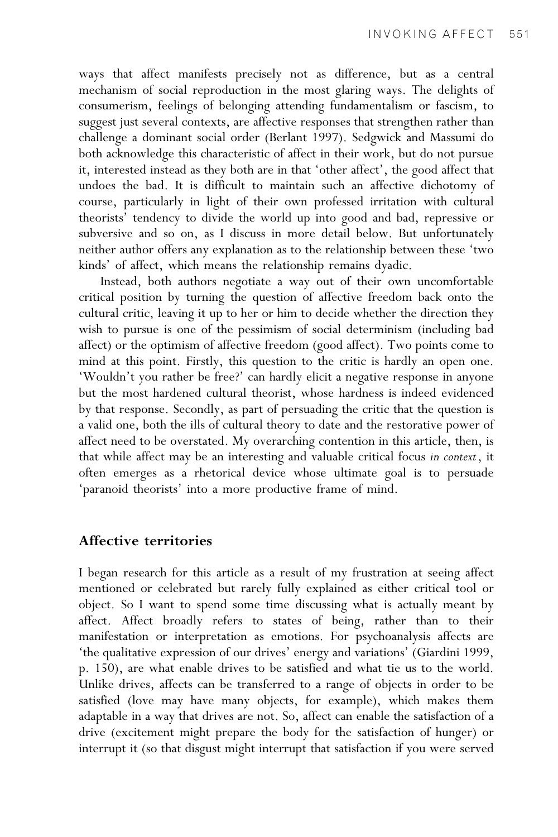ways that affect manifests precisely not as difference, but as a central mechanism of social reproduction in the most glaring ways. The delights of consumerism, feelings of belonging attending fundamentalism or fascism, to suggest just several contexts, are affective responses that strengthen rather than challenge a dominant social order (Berlant 1997). Sedgwick and Massumi do both acknowledge this characteristic of affect in their work, but do not pursue it, interested instead as they both are in that 'other affect', the good affect that undoes the bad. It is difficult to maintain such an affective dichotomy of course, particularly in light of their own professed irritation with cultural theorists' tendency to divide the world up into good and bad, repressive or subversive and so on, as I discuss in more detail below. But unfortunately neither author offers any explanation as to the relationship between these 'two kinds' of affect, which means the relationship remains dyadic.

Instead, both authors negotiate a way out of their own uncomfortable critical position by turning the question of affective freedom back onto the cultural critic, leaving it up to her or him to decide whether the direction they wish to pursue is one of the pessimism of social determinism (including bad affect) or the optimism of affective freedom (good affect). Two points come to mind at this point. Firstly, this question to the critic is hardly an open one. 'Wouldn't you rather be free?' can hardly elicit a negative response in anyone but the most hardened cultural theorist, whose hardness is indeed evidenced by that response. Secondly, as part of persuading the critic that the question is a valid one, both the ills of cultural theory to date and the restorative power of affect need to be overstated. My overarching contention in this article, then, is that while affect may be an interesting and valuable critical focus in context, it often emerges as a rhetorical device whose ultimate goal is to persuade 'paranoid theorists' into a more productive frame of mind.

### Affective territories

I began research for this article as a result of my frustration at seeing affect mentioned or celebrated but rarely fully explained as either critical tool or object. So I want to spend some time discussing what is actually meant by affect. Affect broadly refers to states of being, rather than to their manifestation or interpretation as emotions. For psychoanalysis affects are 'the qualitative expression of our drives' energy and variations' (Giardini 1999, p. 150), are what enable drives to be satisfied and what tie us to the world. Unlike drives, affects can be transferred to a range of objects in order to be satisfied (love may have many objects, for example), which makes them adaptable in a way that drives are not. So, affect can enable the satisfaction of a drive (excitement might prepare the body for the satisfaction of hunger) or interrupt it (so that disgust might interrupt that satisfaction if you were served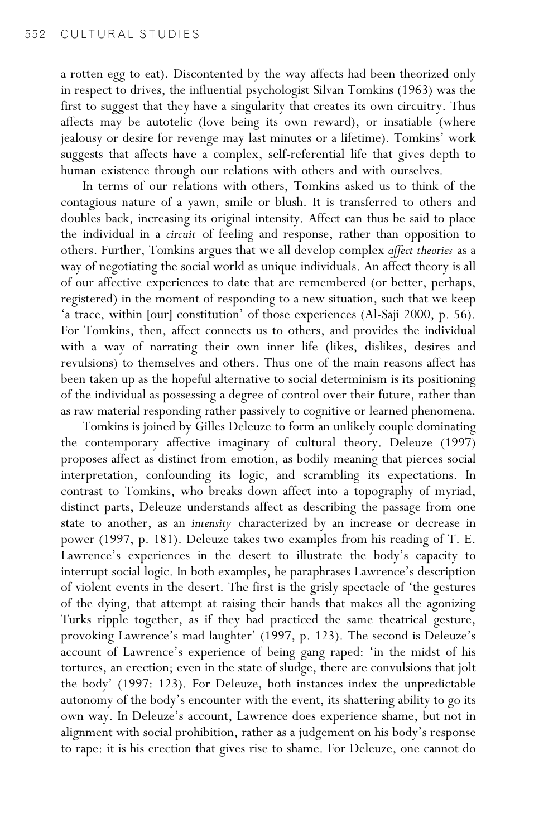a rotten egg to eat). Discontented by the way affects had been theorized only in respect to drives, the influential psychologist Silvan Tomkins (1963) was the first to suggest that they have a singularity that creates its own circuitry. Thus affects may be autotelic (love being its own reward), or insatiable (where jealousy or desire for revenge may last minutes or a lifetime). Tomkins' work suggests that affects have a complex, self-referential life that gives depth to human existence through our relations with others and with ourselves.

In terms of our relations with others, Tomkins asked us to think of the contagious nature of a yawn, smile or blush. It is transferred to others and doubles back, increasing its original intensity. Affect can thus be said to place the individual in a circuit of feeling and response, rather than opposition to others. Further, Tomkins argues that we all develop complex affect theories as a way of negotiating the social world as unique individuals. An affect theory is all of our affective experiences to date that are remembered (or better, perhaps, registered) in the moment of responding to a new situation, such that we keep 'a trace, within [our] constitution' of those experiences (Al-Saji 2000, p. 56). For Tomkins, then, affect connects us to others, and provides the individual with a way of narrating their own inner life (likes, dislikes, desires and revulsions) to themselves and others. Thus one of the main reasons affect has been taken up as the hopeful alternative to social determinism is its positioning of the individual as possessing a degree of control over their future, rather than as raw material responding rather passively to cognitive or learned phenomena.

Tomkins is joined by Gilles Deleuze to form an unlikely couple dominating the contemporary affective imaginary of cultural theory. Deleuze (1997) proposes affect as distinct from emotion, as bodily meaning that pierces social interpretation, confounding its logic, and scrambling its expectations. In contrast to Tomkins, who breaks down affect into a topography of myriad, distinct parts, Deleuze understands affect as describing the passage from one state to another, as an intensity characterized by an increase or decrease in power (1997, p. 181). Deleuze takes two examples from his reading of T. E. Lawrence's experiences in the desert to illustrate the body's capacity to interrupt social logic. In both examples, he paraphrases Lawrence's description of violent events in the desert. The first is the grisly spectacle of 'the gestures of the dying, that attempt at raising their hands that makes all the agonizing Turks ripple together, as if they had practiced the same theatrical gesture, provoking Lawrence's mad laughter' (1997, p. 123). The second is Deleuze's account of Lawrence's experience of being gang raped: 'in the midst of his tortures, an erection; even in the state of sludge, there are convulsions that jolt the body' (1997: 123). For Deleuze, both instances index the unpredictable autonomy of the body's encounter with the event, its shattering ability to go its own way. In Deleuze's account, Lawrence does experience shame, but not in alignment with social prohibition, rather as a judgement on his body's response to rape: it is his erection that gives rise to shame. For Deleuze, one cannot do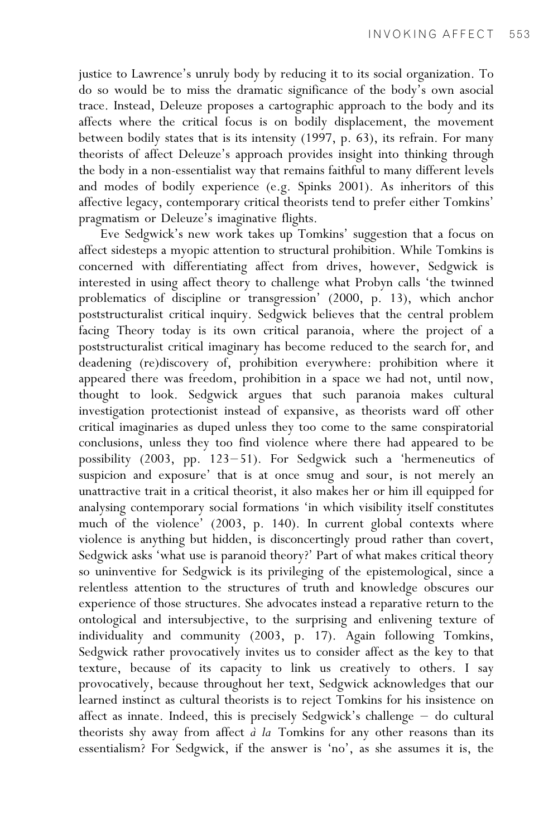justice to Lawrence's unruly body by reducing it to its social organization. To do so would be to miss the dramatic significance of the body's own asocial trace. Instead, Deleuze proposes a cartographic approach to the body and its affects where the critical focus is on bodily displacement, the movement between bodily states that is its intensity (1997, p. 63), its refrain. For many theorists of affect Deleuze's approach provides insight into thinking through the body in a non-essentialist way that remains faithful to many different levels and modes of bodily experience (e.g. Spinks 2001). As inheritors of this affective legacy, contemporary critical theorists tend to prefer either Tomkins' pragmatism or Deleuze's imaginative flights.

Eve Sedgwick's new work takes up Tomkins' suggestion that a focus on affect sidesteps a myopic attention to structural prohibition. While Tomkins is concerned with differentiating affect from drives, however, Sedgwick is interested in using affect theory to challenge what Probyn calls 'the twinned problematics of discipline or transgression' (2000, p. 13), which anchor poststructuralist critical inquiry. Sedgwick believes that the central problem facing Theory today is its own critical paranoia, where the project of a poststructuralist critical imaginary has become reduced to the search for, and deadening (re)discovery of, prohibition everywhere: prohibition where it appeared there was freedom, prohibition in a space we had not, until now, thought to look. Sedgwick argues that such paranoia makes cultural investigation protectionist instead of expansive, as theorists ward off other critical imaginaries as duped unless they too come to the same conspiratorial conclusions, unless they too find violence where there had appeared to be possibility (2003, pp. 123-51). For Sedgwick such a 'hermeneutics of suspicion and exposure' that is at once smug and sour, is not merely an unattractive trait in a critical theorist, it also makes her or him ill equipped for analysing contemporary social formations 'in which visibility itself constitutes much of the violence' (2003, p. 140). In current global contexts where violence is anything but hidden, is disconcertingly proud rather than covert, Sedgwick asks 'what use is paranoid theory?' Part of what makes critical theory so uninventive for Sedgwick is its privileging of the epistemological, since a relentless attention to the structures of truth and knowledge obscures our experience of those structures. She advocates instead a reparative return to the ontological and intersubjective, to the surprising and enlivening texture of individuality and community (2003, p. 17). Again following Tomkins, Sedgwick rather provocatively invites us to consider affect as the key to that texture, because of its capacity to link us creatively to others. I say provocatively, because throughout her text, Sedgwick acknowledges that our learned instinct as cultural theorists is to reject Tomkins for his insistence on affect as innate. Indeed, this is precisely Sedgwick's challenge  $-$  do cultural theorists shy away from affect  $\partial$  la Tomkins for any other reasons than its essentialism? For Sedgwick, if the answer is 'no', as she assumes it is, the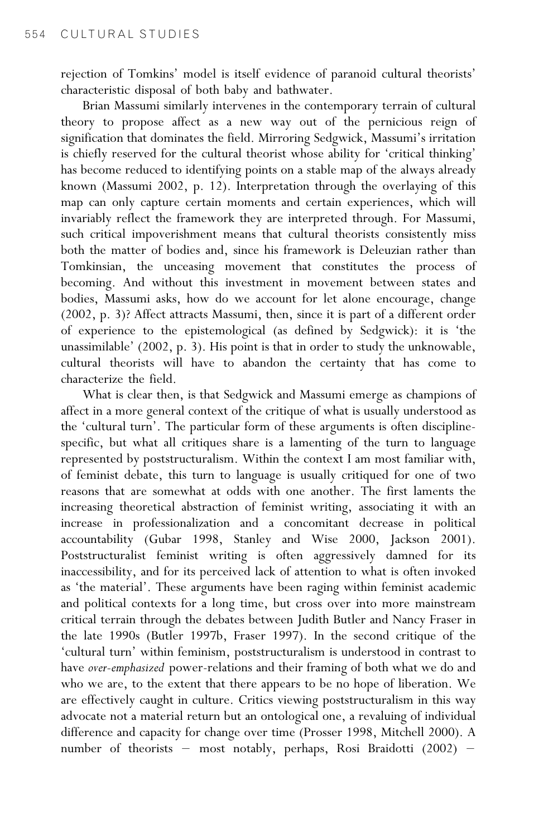rejection of Tomkins' model is itself evidence of paranoid cultural theorists' characteristic disposal of both baby and bathwater.

Brian Massumi similarly intervenes in the contemporary terrain of cultural theory to propose affect as a new way out of the pernicious reign of signification that dominates the field. Mirroring Sedgwick, Massumi's irritation is chiefly reserved for the cultural theorist whose ability for 'critical thinking' has become reduced to identifying points on a stable map of the always already known (Massumi 2002, p. 12). Interpretation through the overlaying of this map can only capture certain moments and certain experiences, which will invariably reflect the framework they are interpreted through. For Massumi, such critical impoverishment means that cultural theorists consistently miss both the matter of bodies and, since his framework is Deleuzian rather than Tomkinsian, the unceasing movement that constitutes the process of becoming. And without this investment in movement between states and bodies, Massumi asks, how do we account for let alone encourage, change (2002, p. 3)? Affect attracts Massumi, then, since it is part of a different order of experience to the epistemological (as defined by Sedgwick): it is 'the unassimilable' (2002, p. 3). His point is that in order to study the unknowable, cultural theorists will have to abandon the certainty that has come to characterize the field.

What is clear then, is that Sedgwick and Massumi emerge as champions of affect in a more general context of the critique of what is usually understood as the 'cultural turn'. The particular form of these arguments is often disciplinespecific, but what all critiques share is a lamenting of the turn to language represented by poststructuralism. Within the context I am most familiar with, of feminist debate, this turn to language is usually critiqued for one of two reasons that are somewhat at odds with one another. The first laments the increasing theoretical abstraction of feminist writing, associating it with an increase in professionalization and a concomitant decrease in political accountability (Gubar 1998, Stanley and Wise 2000, Jackson 2001). Poststructuralist feminist writing is often aggressively damned for its inaccessibility, and for its perceived lack of attention to what is often invoked as 'the material'. These arguments have been raging within feminist academic and political contexts for a long time, but cross over into more mainstream critical terrain through the debates between Judith Butler and Nancy Fraser in the late 1990s (Butler 1997b, Fraser 1997). In the second critique of the 'cultural turn' within feminism, poststructuralism is understood in contrast to have over-emphasized power-relations and their framing of both what we do and who we are, to the extent that there appears to be no hope of liberation. We are effectively caught in culture. Critics viewing poststructuralism in this way advocate not a material return but an ontological one, a revaluing of individual difference and capacity for change over time (Prosser 1998, Mitchell 2000). A number of theorists - most notably, perhaps, Rosi Braidotti (2002) -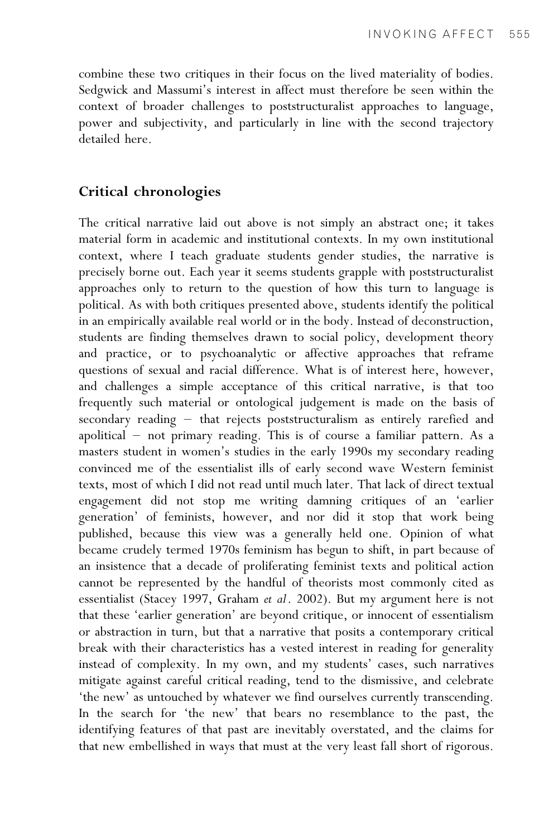combine these two critiques in their focus on the lived materiality of bodies. Sedgwick and Massumi's interest in affect must therefore be seen within the context of broader challenges to poststructuralist approaches to language, power and subjectivity, and particularly in line with the second trajectory detailed here.

### Critical chronologies

The critical narrative laid out above is not simply an abstract one; it takes material form in academic and institutional contexts. In my own institutional context, where I teach graduate students gender studies, the narrative is precisely borne out. Each year it seems students grapple with poststructuralist approaches only to return to the question of how this turn to language is political. As with both critiques presented above, students identify the political in an empirically available real world or in the body. Instead of deconstruction, students are finding themselves drawn to social policy, development theory and practice, or to psychoanalytic or affective approaches that reframe questions of sexual and racial difference. What is of interest here, however, and challenges a simple acceptance of this critical narrative, is that too frequently such material or ontological judgement is made on the basis of  $secondary reading - that rejects poststructuralism as entirely rarefied and$ apolitical  $-$  not primary reading. This is of course a familiar pattern. As a masters student in women's studies in the early 1990s my secondary reading convinced me of the essentialist ills of early second wave Western feminist texts, most of which I did not read until much later. That lack of direct textual engagement did not stop me writing damning critiques of an 'earlier generation' of feminists, however, and nor did it stop that work being published, because this view was a generally held one. Opinion of what became crudely termed 1970s feminism has begun to shift, in part because of an insistence that a decade of proliferating feminist texts and political action cannot be represented by the handful of theorists most commonly cited as essentialist (Stacey 1997, Graham et al. 2002). But my argument here is not that these 'earlier generation' are beyond critique, or innocent of essentialism or abstraction in turn, but that a narrative that posits a contemporary critical break with their characteristics has a vested interest in reading for generality instead of complexity. In my own, and my students' cases, such narratives mitigate against careful critical reading, tend to the dismissive, and celebrate 'the new' as untouched by whatever we find ourselves currently transcending. In the search for 'the new' that bears no resemblance to the past, the identifying features of that past are inevitably overstated, and the claims for that new embellished in ways that must at the very least fall short of rigorous.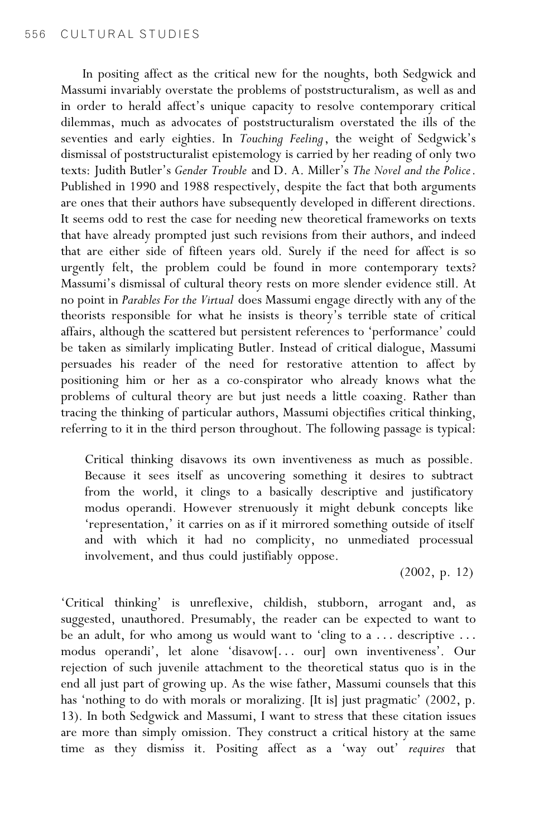In positing affect as the critical new for the noughts, both Sedgwick and Massumi invariably overstate the problems of poststructuralism, as well as and in order to herald affect's unique capacity to resolve contemporary critical dilemmas, much as advocates of poststructuralism overstated the ills of the seventies and early eighties. In Touching Feeling, the weight of Sedgwick's dismissal of poststructuralist epistemology is carried by her reading of only two texts: Judith Butler's Gender Trouble and D. A. Miller's The Novel and the Police. Published in 1990 and 1988 respectively, despite the fact that both arguments are ones that their authors have subsequently developed in different directions. It seems odd to rest the case for needing new theoretical frameworks on texts that have already prompted just such revisions from their authors, and indeed that are either side of fifteen years old. Surely if the need for affect is so urgently felt, the problem could be found in more contemporary texts? Massumi's dismissal of cultural theory rests on more slender evidence still. At no point in Parables For the Virtual does Massumi engage directly with any of the theorists responsible for what he insists is theory's terrible state of critical affairs, although the scattered but persistent references to 'performance' could be taken as similarly implicating Butler. Instead of critical dialogue, Massumi persuades his reader of the need for restorative attention to affect by positioning him or her as a co-conspirator who already knows what the problems of cultural theory are but just needs a little coaxing. Rather than tracing the thinking of particular authors, Massumi objectifies critical thinking, referring to it in the third person throughout. The following passage is typical:

Critical thinking disavows its own inventiveness as much as possible. Because it sees itself as uncovering something it desires to subtract from the world, it clings to a basically descriptive and justificatory modus operandi. However strenuously it might debunk concepts like 'representation,' it carries on as if it mirrored something outside of itself and with which it had no complicity, no unmediated processual involvement, and thus could justifiably oppose.

(2002, p. 12)

'Critical thinking' is unreflexive, childish, stubborn, arrogant and, as suggested, unauthored. Presumably, the reader can be expected to want to be an adult, for who among us would want to 'cling to a ... descriptive ... modus operandi', let alone 'disavow[... our] own inventiveness'. Our rejection of such juvenile attachment to the theoretical status quo is in the end all just part of growing up. As the wise father, Massumi counsels that this has 'nothing to do with morals or moralizing. [It is] just pragmatic' (2002, p. 13). In both Sedgwick and Massumi, I want to stress that these citation issues are more than simply omission. They construct a critical history at the same time as they dismiss it. Positing affect as a 'way out' requires that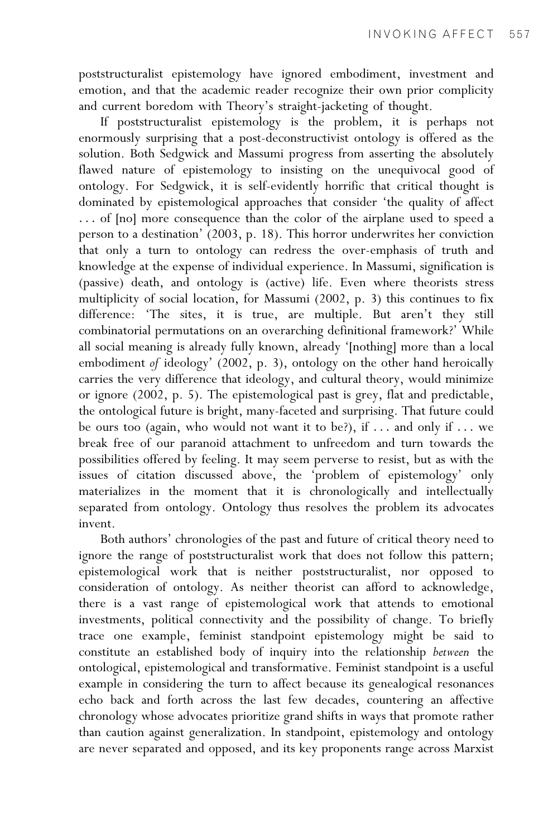poststructuralist epistemology have ignored embodiment, investment and emotion, and that the academic reader recognize their own prior complicity and current boredom with Theory's straight-jacketing of thought.

If poststructuralist epistemology is the problem, it is perhaps not enormously surprising that a post-deconstructivist ontology is offered as the solution. Both Sedgwick and Massumi progress from asserting the absolutely flawed nature of epistemology to insisting on the unequivocal good of ontology. For Sedgwick, it is self-evidently horrific that critical thought is dominated by epistemological approaches that consider 'the quality of affect ... of [no] more consequence than the color of the airplane used to speed a person to a destination' (2003, p. 18). This horror underwrites her conviction that only a turn to ontology can redress the over-emphasis of truth and knowledge at the expense of individual experience. In Massumi, signification is (passive) death, and ontology is (active) life. Even where theorists stress multiplicity of social location, for Massumi (2002, p. 3) this continues to fix difference: 'The sites, it is true, are multiple. But aren't they still combinatorial permutations on an overarching definitional framework?' While all social meaning is already fully known, already '[nothing] more than a local embodiment of ideology' (2002, p. 3), ontology on the other hand heroically carries the very difference that ideology, and cultural theory, would minimize or ignore (2002, p. 5). The epistemological past is grey, flat and predictable, the ontological future is bright, many-faceted and surprising. That future could be ours too (again, who would not want it to be?), if ... and only if ... we break free of our paranoid attachment to unfreedom and turn towards the possibilities offered by feeling. It may seem perverse to resist, but as with the issues of citation discussed above, the 'problem of epistemology' only materializes in the moment that it is chronologically and intellectually separated from ontology. Ontology thus resolves the problem its advocates invent.

Both authors' chronologies of the past and future of critical theory need to ignore the range of poststructuralist work that does not follow this pattern; epistemological work that is neither poststructuralist, nor opposed to consideration of ontology. As neither theorist can afford to acknowledge, there is a vast range of epistemological work that attends to emotional investments, political connectivity and the possibility of change. To briefly trace one example, feminist standpoint epistemology might be said to constitute an established body of inquiry into the relationship between the ontological, epistemological and transformative. Feminist standpoint is a useful example in considering the turn to affect because its genealogical resonances echo back and forth across the last few decades, countering an affective chronology whose advocates prioritize grand shifts in ways that promote rather than caution against generalization. In standpoint, epistemology and ontology are never separated and opposed, and its key proponents range across Marxist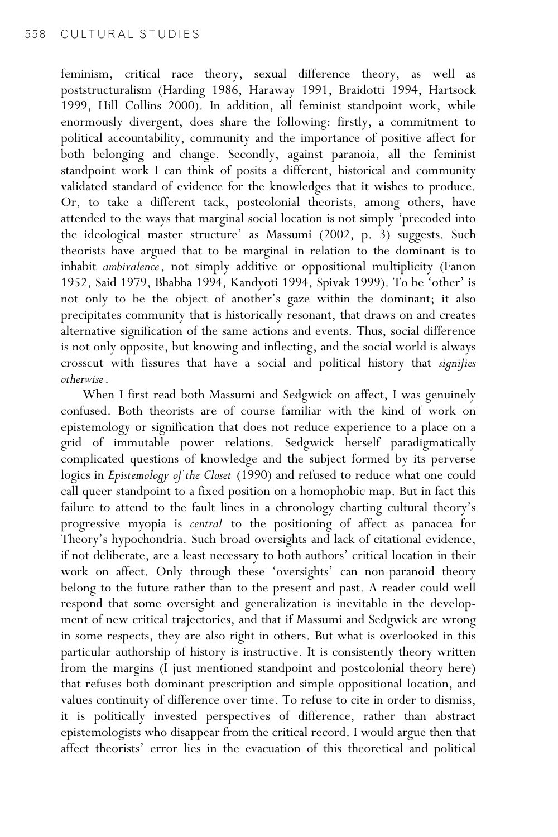feminism, critical race theory, sexual difference theory, as well as poststructuralism (Harding 1986, Haraway 1991, Braidotti 1994, Hartsock 1999, Hill Collins 2000). In addition, all feminist standpoint work, while enormously divergent, does share the following: firstly, a commitment to political accountability, community and the importance of positive affect for both belonging and change. Secondly, against paranoia, all the feminist standpoint work I can think of posits a different, historical and community validated standard of evidence for the knowledges that it wishes to produce. Or, to take a different tack, postcolonial theorists, among others, have attended to the ways that marginal social location is not simply 'precoded into the ideological master structure' as Massumi (2002, p. 3) suggests. Such theorists have argued that to be marginal in relation to the dominant is to inhabit ambivalence, not simply additive or oppositional multiplicity (Fanon 1952, Said 1979, Bhabha 1994, Kandyoti 1994, Spivak 1999). To be 'other' is not only to be the object of another's gaze within the dominant; it also precipitates community that is historically resonant, that draws on and creates alternative signification of the same actions and events. Thus, social difference is not only opposite, but knowing and inflecting, and the social world is always crosscut with fissures that have a social and political history that signifies otherwise.

When I first read both Massumi and Sedgwick on affect, I was genuinely confused. Both theorists are of course familiar with the kind of work on epistemology or signification that does not reduce experience to a place on a grid of immutable power relations. Sedgwick herself paradigmatically complicated questions of knowledge and the subject formed by its perverse logics in Epistemology of the Closet (1990) and refused to reduce what one could call queer standpoint to a fixed position on a homophobic map. But in fact this failure to attend to the fault lines in a chronology charting cultural theory's progressive myopia is central to the positioning of affect as panacea for Theory's hypochondria. Such broad oversights and lack of citational evidence, if not deliberate, are a least necessary to both authors' critical location in their work on affect. Only through these 'oversights' can non-paranoid theory belong to the future rather than to the present and past. A reader could well respond that some oversight and generalization is inevitable in the development of new critical trajectories, and that if Massumi and Sedgwick are wrong in some respects, they are also right in others. But what is overlooked in this particular authorship of history is instructive. It is consistently theory written from the margins (I just mentioned standpoint and postcolonial theory here) that refuses both dominant prescription and simple oppositional location, and values continuity of difference over time. To refuse to cite in order to dismiss, it is politically invested perspectives of difference, rather than abstract epistemologists who disappear from the critical record. I would argue then that affect theorists' error lies in the evacuation of this theoretical and political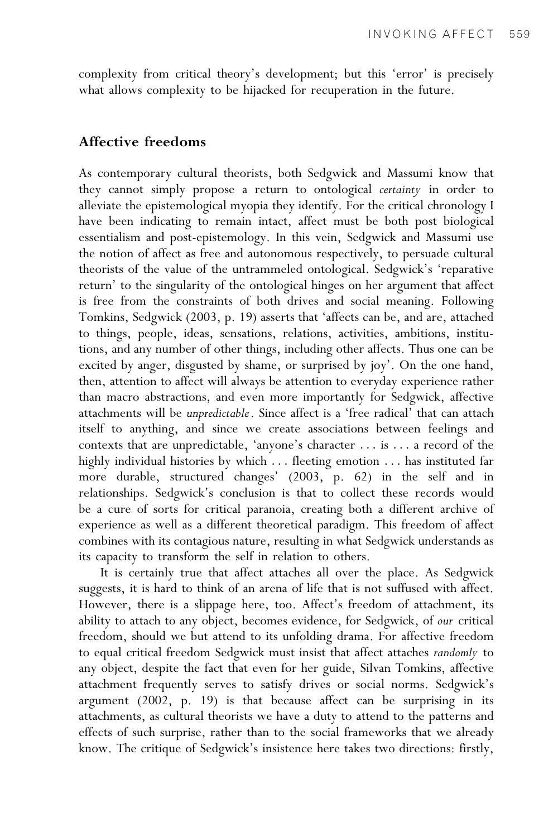complexity from critical theory's development; but this 'error' is precisely what allows complexity to be hijacked for recuperation in the future.

#### Affective freedoms

As contemporary cultural theorists, both Sedgwick and Massumi know that they cannot simply propose a return to ontological certainty in order to alleviate the epistemological myopia they identify. For the critical chronology I have been indicating to remain intact, affect must be both post biological essentialism and post-epistemology. In this vein, Sedgwick and Massumi use the notion of affect as free and autonomous respectively, to persuade cultural theorists of the value of the untrammeled ontological. Sedgwick's 'reparative return' to the singularity of the ontological hinges on her argument that affect is free from the constraints of both drives and social meaning. Following Tomkins, Sedgwick (2003, p. 19) asserts that 'affects can be, and are, attached to things, people, ideas, sensations, relations, activities, ambitions, institutions, and any number of other things, including other affects. Thus one can be excited by anger, disgusted by shame, or surprised by joy'. On the one hand, then, attention to affect will always be attention to everyday experience rather than macro abstractions, and even more importantly for Sedgwick, affective attachments will be unpredictable. Since affect is a 'free radical' that can attach itself to anything, and since we create associations between feelings and contexts that are unpredictable, 'anyone's character ... is ... a record of the highly individual histories by which ... fleeting emotion ... has instituted far more durable, structured changes' (2003, p. 62) in the self and in relationships. Sedgwick's conclusion is that to collect these records would be a cure of sorts for critical paranoia, creating both a different archive of experience as well as a different theoretical paradigm. This freedom of affect combines with its contagious nature, resulting in what Sedgwick understands as its capacity to transform the self in relation to others.

It is certainly true that affect attaches all over the place. As Sedgwick suggests, it is hard to think of an arena of life that is not suffused with affect. However, there is a slippage here, too. Affect's freedom of attachment, its ability to attach to any object, becomes evidence, for Sedgwick, of our critical freedom, should we but attend to its unfolding drama. For affective freedom to equal critical freedom Sedgwick must insist that affect attaches randomly to any object, despite the fact that even for her guide, Silvan Tomkins, affective attachment frequently serves to satisfy drives or social norms. Sedgwick's argument (2002, p. 19) is that because affect can be surprising in its attachments, as cultural theorists we have a duty to attend to the patterns and effects of such surprise, rather than to the social frameworks that we already know. The critique of Sedgwick's insistence here takes two directions: firstly,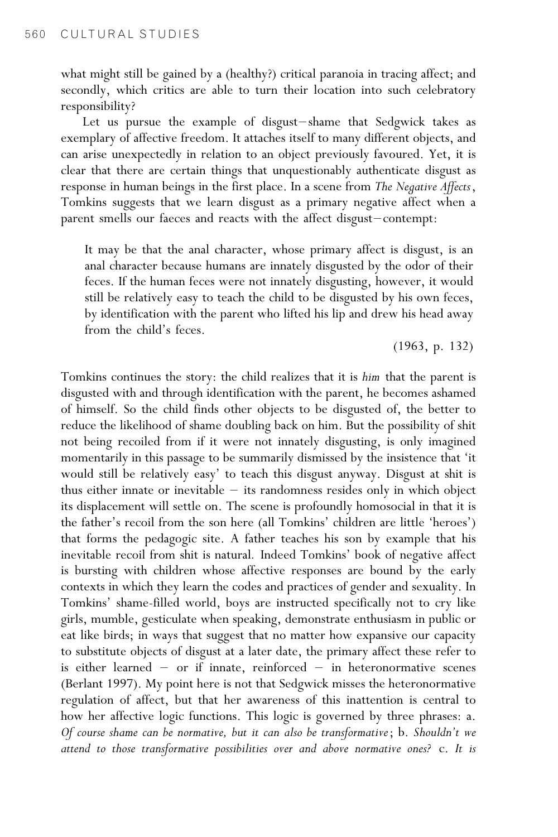what might still be gained by a (healthy?) critical paranoia in tracing affect; and secondly, which critics are able to turn their location into such celebratory responsibility?

Let us pursue the example of disgust-shame that Sedgwick takes as exemplary of affective freedom. It attaches itself to many different objects, and can arise unexpectedly in relation to an object previously favoured. Yet, it is clear that there are certain things that unquestionably authenticate disgust as response in human beings in the first place. In a scene from The Negative Affects, Tomkins suggests that we learn disgust as a primary negative affect when a parent smells our faeces and reacts with the affect disgust-contempt:

It may be that the anal character, whose primary affect is disgust, is an anal character because humans are innately disgusted by the odor of their feces. If the human feces were not innately disgusting, however, it would still be relatively easy to teach the child to be disgusted by his own feces, by identification with the parent who lifted his lip and drew his head away from the child's feces.

(1963, p. 132)

Tomkins continues the story: the child realizes that it is him that the parent is disgusted with and through identification with the parent, he becomes ashamed of himself. So the child finds other objects to be disgusted of, the better to reduce the likelihood of shame doubling back on him. But the possibility of shit not being recoiled from if it were not innately disgusting, is only imagined momentarily in this passage to be summarily dismissed by the insistence that 'it would still be relatively easy' to teach this disgust anyway. Disgust at shit is thus either innate or inevitable  $-$  its randomness resides only in which object its displacement will settle on. The scene is profoundly homosocial in that it is the father's recoil from the son here (all Tomkins' children are little 'heroes') that forms the pedagogic site. A father teaches his son by example that his inevitable recoil from shit is natural. Indeed Tomkins' book of negative affect is bursting with children whose affective responses are bound by the early contexts in which they learn the codes and practices of gender and sexuality. In Tomkins' shame-filled world, boys are instructed specifically not to cry like girls, mumble, gesticulate when speaking, demonstrate enthusiasm in public or eat like birds; in ways that suggest that no matter how expansive our capacity to substitute objects of disgust at a later date, the primary affect these refer to is either learned  $-$  or if innate, reinforced  $-$  in heteronormative scenes (Berlant 1997). My point here is not that Sedgwick misses the heteronormative regulation of affect, but that her awareness of this inattention is central to how her affective logic functions. This logic is governed by three phrases: a. Of course shame can be normative, but it can also be transformative; b. Shouldn't we attend to those transformative possibilities over and above normative ones? c. It is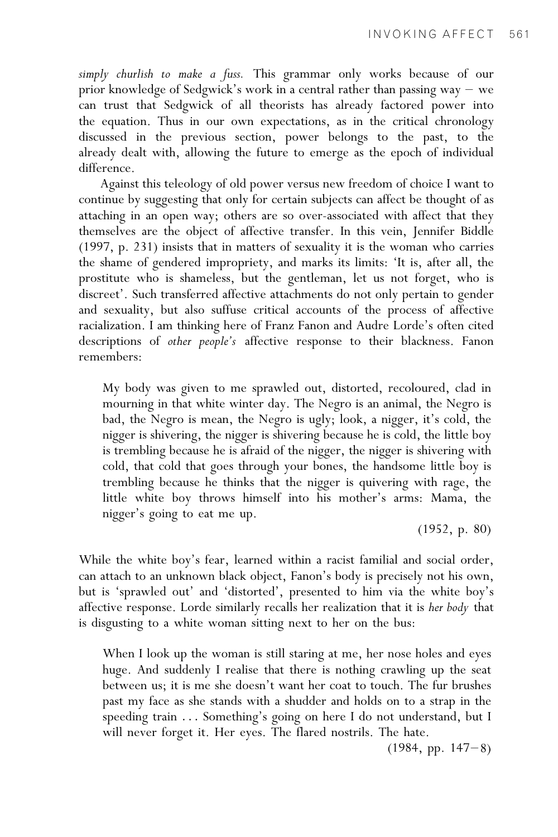simply churlish to make a fuss. This grammar only works because of our prior knowledge of Sedgwick's work in a central rather than passing way  $-$  we can trust that Sedgwick of all theorists has already factored power into the equation. Thus in our own expectations, as in the critical chronology discussed in the previous section, power belongs to the past, to the already dealt with, allowing the future to emerge as the epoch of individual difference.

Against this teleology of old power versus new freedom of choice I want to continue by suggesting that only for certain subjects can affect be thought of as attaching in an open way; others are so over-associated with affect that they themselves are the object of affective transfer. In this vein, Jennifer Biddle (1997, p. 231) insists that in matters of sexuality it is the woman who carries the shame of gendered impropriety, and marks its limits: 'It is, after all, the prostitute who is shameless, but the gentleman, let us not forget, who is discreet'. Such transferred affective attachments do not only pertain to gender and sexuality, but also suffuse critical accounts of the process of affective racialization. I am thinking here of Franz Fanon and Audre Lorde's often cited descriptions of other people's affective response to their blackness. Fanon remembers:

My body was given to me sprawled out, distorted, recoloured, clad in mourning in that white winter day. The Negro is an animal, the Negro is bad, the Negro is mean, the Negro is ugly; look, a nigger, it's cold, the nigger is shivering, the nigger is shivering because he is cold, the little boy is trembling because he is afraid of the nigger, the nigger is shivering with cold, that cold that goes through your bones, the handsome little boy is trembling because he thinks that the nigger is quivering with rage, the little white boy throws himself into his mother's arms: Mama, the nigger's going to eat me up.

(1952, p. 80)

While the white boy's fear, learned within a racist familial and social order, can attach to an unknown black object, Fanon's body is precisely not his own, but is 'sprawled out' and 'distorted', presented to him via the white boy's affective response. Lorde similarly recalls her realization that it is her body that is disgusting to a white woman sitting next to her on the bus:

When I look up the woman is still staring at me, her nose holes and eyes huge. And suddenly I realise that there is nothing crawling up the seat between us; it is me she doesn't want her coat to touch. The fur brushes past my face as she stands with a shudder and holds on to a strap in the speeding train ... Something's going on here I do not understand, but I will never forget it. Her eyes. The flared nostrils. The hate.

 $(1984, pp. 147-8)$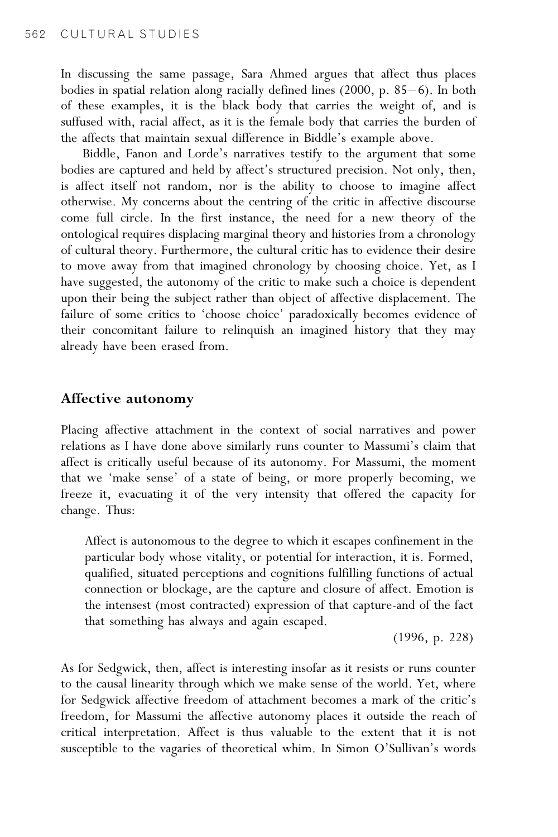In discussing the same passage, Sara Ahmed argues that affect thus places bodies in spatial relation along racially defined lines  $(2000, p. 85-6)$ . In both of these examples, it is the black body that carries the weight of, and is suffused with, racial affect, as it is the female body that carries the burden of the affects that maintain sexual difference in Biddle's example above.

Biddle, Fanon and Lorde's narratives testify to the argument that some bodies are captured and held by affect's structured precision. Not only, then, is affect itself not random, nor is the ability to choose to imagine affect otherwise. My concerns about the centring of the critic in affective discourse come full circle. In the first instance, the need for a new theory of the ontological requires displacing marginal theory and histories from a chronology of cultural theory. Furthermore, the cultural critic has to evidence their desire to move away from that imagined chronology by choosing choice. Yet, as I have suggested, the autonomy of the critic to make such a choice is dependent upon their being the subject rather than object of affective displacement. The failure of some critics to 'choose choice' paradoxically becomes evidence of their concomitant failure to relinquish an imagined history that they may already have been erased from.

#### Affective autonomy

Placing affective attachment in the context of social narratives and power relations as I have done above similarly runs counter to Massumi's claim that affect is critically useful because of its autonomy. For Massumi, the moment that we 'make sense' of a state of being, or more properly becoming, we freeze it, evacuating it of the very intensity that offered the capacity for change. Thus:

Affect is autonomous to the degree to which it escapes confinement in the particular body whose vitality, or potential for interaction, it is. Formed, qualified, situated perceptions and cognitions fulfilling functions of actual connection or blockage, are the capture and closure of affect. Emotion is the intensest (most contracted) expression of that capture-and of the fact that something has always and again escaped.

(1996, p. 228)

As for Sedgwick, then, affect is interesting insofar as it resists or runs counter to the causal linearity through which we make sense of the world. Yet, where for Sedgwick affective freedom of attachment becomes a mark of the critic's freedom, for Massumi the affective autonomy places it outside the reach of critical interpretation. Affect is thus valuable to the extent that it is not susceptible to the vagaries of theoretical whim. In Simon O'Sullivan's words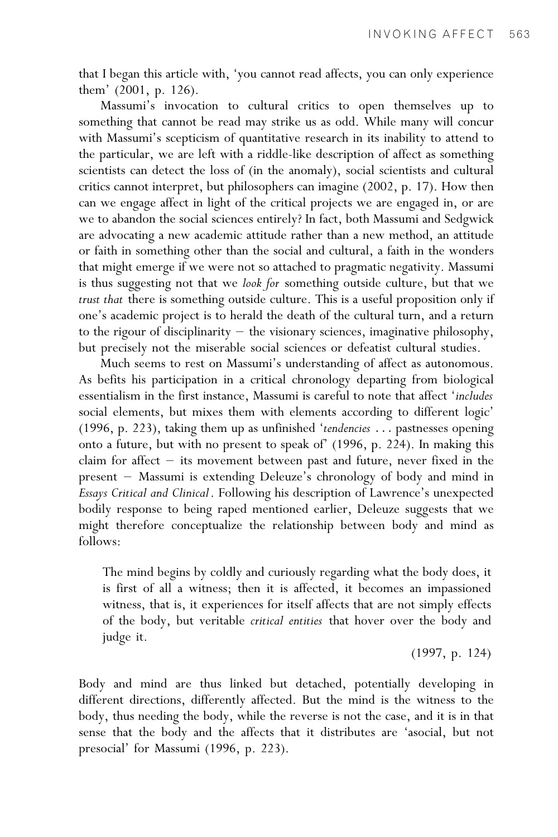that I began this article with, 'you cannot read affects, you can only experience them' (2001, p. 126).

Massumi's invocation to cultural critics to open themselves up to something that cannot be read may strike us as odd. While many will concur with Massumi's scepticism of quantitative research in its inability to attend to the particular, we are left with a riddle-like description of affect as something scientists can detect the loss of (in the anomaly), social scientists and cultural critics cannot interpret, but philosophers can imagine (2002, p. 17). How then can we engage affect in light of the critical projects we are engaged in, or are we to abandon the social sciences entirely? In fact, both Massumi and Sedgwick are advocating a new academic attitude rather than a new method, an attitude or faith in something other than the social and cultural, a faith in the wonders that might emerge if we were not so attached to pragmatic negativity. Massumi is thus suggesting not that we look for something outside culture, but that we trust that there is something outside culture. This is a useful proposition only if one's academic project is to herald the death of the cultural turn, and a return to the rigour of disciplinarity  $-$  the visionary sciences, imaginative philosophy, but precisely not the miserable social sciences or defeatist cultural studies.

Much seems to rest on Massumi's understanding of affect as autonomous. As befits his participation in a critical chronology departing from biological essentialism in the first instance, Massumi is careful to note that affect 'includes social elements, but mixes them with elements according to different logic' (1996, p. 223), taking them up as unfinished 'tendencies ... pastnesses opening onto a future, but with no present to speak of' (1996, p. 224). In making this claim for affect  $-$  its movement between past and future, never fixed in the present – Massumi is extending Deleuze's chronology of body and mind in Essays Critical and Clinical. Following his description of Lawrence's unexpected bodily response to being raped mentioned earlier, Deleuze suggests that we might therefore conceptualize the relationship between body and mind as follows:

The mind begins by coldly and curiously regarding what the body does, it is first of all a witness; then it is affected, it becomes an impassioned witness, that is, it experiences for itself affects that are not simply effects of the body, but veritable critical entities that hover over the body and judge it.

(1997, p. 124)

Body and mind are thus linked but detached, potentially developing in different directions, differently affected. But the mind is the witness to the body, thus needing the body, while the reverse is not the case, and it is in that sense that the body and the affects that it distributes are 'asocial, but not presocial' for Massumi (1996, p. 223).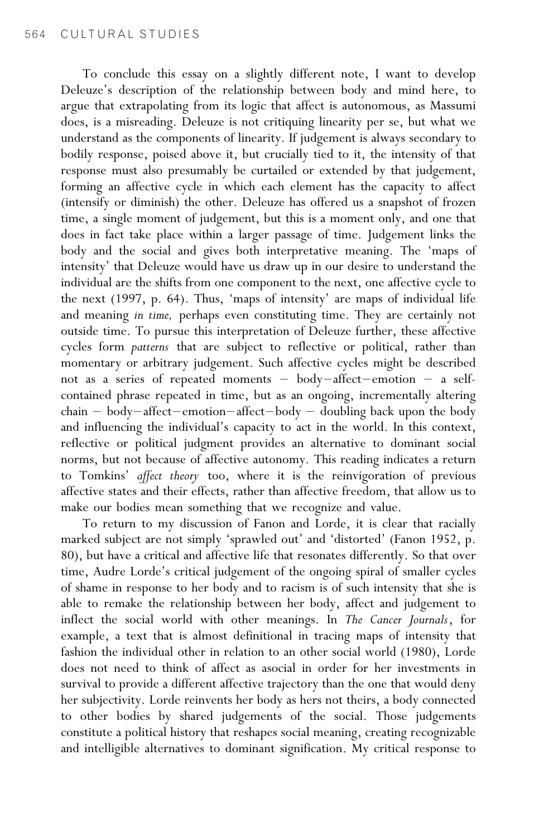To conclude this essay on a slightly different note, I want to develop Deleuze's description of the relationship between body and mind here, to argue that extrapolating from its logic that affect is autonomous, as Massumi does, is a misreading. Deleuze is not critiquing linearity per se, but what we understand as the components of linearity. If judgement is always secondary to bodily response, poised above it, but crucially tied to it, the intensity of that response must also presumably be curtailed or extended by that judgement, forming an affective cycle in which each element has the capacity to affect (intensify or diminish) the other. Deleuze has offered us a snapshot of frozen time, a single moment of judgement, but this is a moment only, and one that does in fact take place within a larger passage of time. Judgement links the body and the social and gives both interpretative meaning. The 'maps of intensity' that Deleuze would have us draw up in our desire to understand the individual are the shifts from one component to the next, one affective cycle to the next (1997, p. 64). Thus, 'maps of intensity' are maps of individual life and meaning in time, perhaps even constituting time. They are certainly not outside time. To pursue this interpretation of Deleuze further, these affective cycles form patterns that are subject to reflective or political, rather than momentary or arbitrary judgement. Such affective cycles might be described not as a series of repeated moments - body-affect-emotion - a selfcontained phrase repeated in time, but as an ongoing, incrementally altering  $chain - body - affect-emotion - affect-body - doubling back upon the body$ and influencing the individual's capacity to act in the world. In this context, reflective or political judgment provides an alternative to dominant social norms, but not because of affective autonomy. This reading indicates a return to Tomkins' affect theory too, where it is the reinvigoration of previous affective states and their effects, rather than affective freedom, that allow us to make our bodies mean something that we recognize and value.

To return to my discussion of Fanon and Lorde, it is clear that racially marked subject are not simply 'sprawled out' and 'distorted' (Fanon 1952, p. 80), but have a critical and affective life that resonates differently. So that over time, Audre Lorde's critical judgement of the ongoing spiral of smaller cycles of shame in response to her body and to racism is of such intensity that she is able to remake the relationship between her body, affect and judgement to inflect the social world with other meanings. In The Cancer Journals, for example, a text that is almost definitional in tracing maps of intensity that fashion the individual other in relation to an other social world (1980), Lorde does not need to think of affect as asocial in order for her investments in survival to provide a different affective trajectory than the one that would deny her subjectivity. Lorde reinvents her body as hers not theirs, a body connected to other bodies by shared judgements of the social. Those judgements constitute a political history that reshapes social meaning, creating recognizable and intelligible alternatives to dominant signification. My critical response to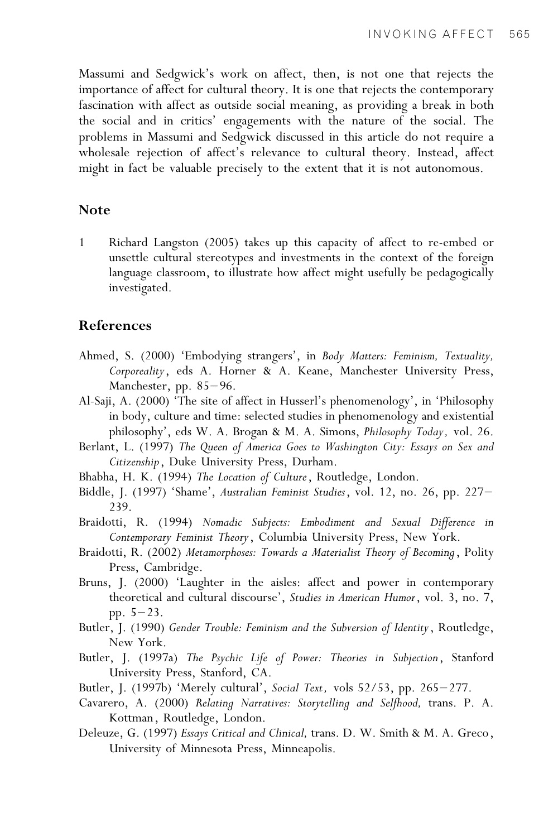Massumi and Sedgwick's work on affect, then, is not one that rejects the importance of affect for cultural theory. It is one that rejects the contemporary fascination with affect as outside social meaning, as providing a break in both the social and in critics' engagements with the nature of the social. The problems in Massumi and Sedgwick discussed in this article do not require a wholesale rejection of affect's relevance to cultural theory. Instead, affect might in fact be valuable precisely to the extent that it is not autonomous.

### Note

1 Richard Langston (2005) takes up this capacity of affect to re-embed or unsettle cultural stereotypes and investments in the context of the foreign language classroom, to illustrate how affect might usefully be pedagogically investigated.

#### References

- Ahmed, S. (2000) 'Embodying strangers', in Body Matters: Feminism, Textuality, Corporeality, eds A. Horner & A. Keane, Manchester University Press, Manchester, pp.  $85-96$ .
- Al-Saji, A. (2000) 'The site of affect in Husserl's phenomenology', in 'Philosophy in body, culture and time: selected studies in phenomenology and existential philosophy', eds W. A. Brogan & M. A. Simons, Philosophy Today, vol. 26.
- Berlant, L. (1997) The Queen of America Goes to Washington City: Essays on Sex and Citizenship, Duke University Press, Durham.
- Bhabha, H. K. (1994) The Location of Culture, Routledge, London.
- Biddle, J. (1997) 'Shame', Australian Feminist Studies, vol. 12, no. 26, pp. 227– 239.
- Braidotti, R. (1994) Nomadic Subjects: Embodiment and Sexual Difference in Contemporary Feminist Theory, Columbia University Press, New York.
- Braidotti, R. (2002) Metamorphoses: Towards a Materialist Theory of Becoming, Polity Press, Cambridge.
- Bruns, J. (2000) 'Laughter in the aisles: affect and power in contemporary theoretical and cultural discourse', Studies in American Humor, vol. 3, no. 7, pp.  $5-23$ .
- Butler, J. (1990) Gender Trouble: Feminism and the Subversion of Identity, Routledge, New York.
- Butler, J. (1997a) The Psychic Life of Power: Theories in Subjection, Stanford University Press, Stanford, CA.
- Butler, J. (1997b) 'Merely cultural', Social Text, vols 52/53, pp. 265–277.
- Cavarero, A. (2000) Relating Narratives: Storytelling and Selfhood, trans. P. A. Kottman, Routledge, London.
- Deleuze, G. (1997) Essays Critical and Clinical, trans. D. W. Smith & M. A. Greco, University of Minnesota Press, Minneapolis.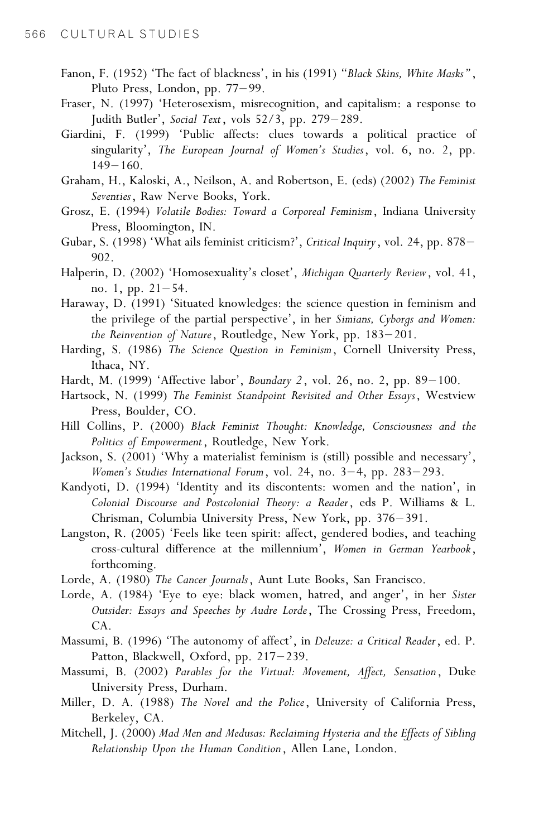- Fanon, F. (1952) 'The fact of blackness', in his (1991) "Black Skins, White Masks", Pluto Press, London, pp. 77-99.
- Fraser, N. (1997) 'Heterosexism, misrecognition, and capitalism: a response to Judith Butler', Social Text, vols 52/3, pp. 279-289.
- Giardini, F. (1999) 'Public affects: clues towards a political practice of singularity', The European Journal of Women's Studies, vol. 6, no. 2, pp.  $149 - 160$ .
- Graham, H., Kaloski, A., Neilson, A. and Robertson, E. (eds) (2002) The Feminist Seventies, Raw Nerve Books, York.
- Grosz, E. (1994) Volatile Bodies: Toward a Corporeal Feminism, Indiana University Press, Bloomington, IN.
- Gubar, S. (1998) 'What ails feminist criticism?', Critical Inquiry, vol. 24, pp. 878-902.
- Halperin, D. (2002) 'Homosexuality's closet', Michigan Quarterly Review, vol. 41, no. 1, pp.  $21-54$ .
- Haraway, D. (1991) 'Situated knowledges: the science question in feminism and the privilege of the partial perspective', in her Simians, Cyborgs and Women: the Reinvention of Nature, Routledge, New York, pp.  $183-201$ .
- Harding, S. (1986) The Science Question in Feminism, Cornell University Press, Ithaca, NY.
- Hardt, M. (1999) 'Affective labor', Boundary 2, vol. 26, no. 2, pp.  $89-100$ .
- Hartsock, N. (1999) The Feminist Standpoint Revisited and Other Essays, Westview Press, Boulder, CO.
- Hill Collins, P. (2000) Black Feminist Thought: Knowledge, Consciousness and the Politics of Empowerment, Routledge, New York.
- Jackson, S. (2001) 'Why a materialist feminism is (still) possible and necessary', Women's Studies International Forum, vol. 24, no.  $3-4$ , pp.  $283-293$ .
- Kandyoti, D. (1994) 'Identity and its discontents: women and the nation', in Colonial Discourse and Postcolonial Theory: a Reader, eds P. Williams & L. Chrisman, Columbia University Press, New York, pp. 376-391.
- Langston, R. (2005) 'Feels like teen spirit: affect, gendered bodies, and teaching cross-cultural difference at the millennium', Women in German Yearbook, forthcoming.
- Lorde, A. (1980) The Cancer Journals, Aunt Lute Books, San Francisco.
- Lorde, A. (1984) 'Eye to eye: black women, hatred, and anger', in her Sister Outsider: Essays and Speeches by Audre Lorde, The Crossing Press, Freedom, CA.
- Massumi, B. (1996) 'The autonomy of affect', in Deleuze: a Critical Reader, ed. P. Patton, Blackwell, Oxford, pp. 217-239.
- Massumi, B. (2002) Parables for the Virtual: Movement, Affect, Sensation, Duke University Press, Durham.
- Miller, D. A. (1988) The Novel and the Police, University of California Press, Berkeley, CA.
- Mitchell, J. (2000) Mad Men and Medusas: Reclaiming Hysteria and the Effects of Sibling Relationship Upon the Human Condition, Allen Lane, London.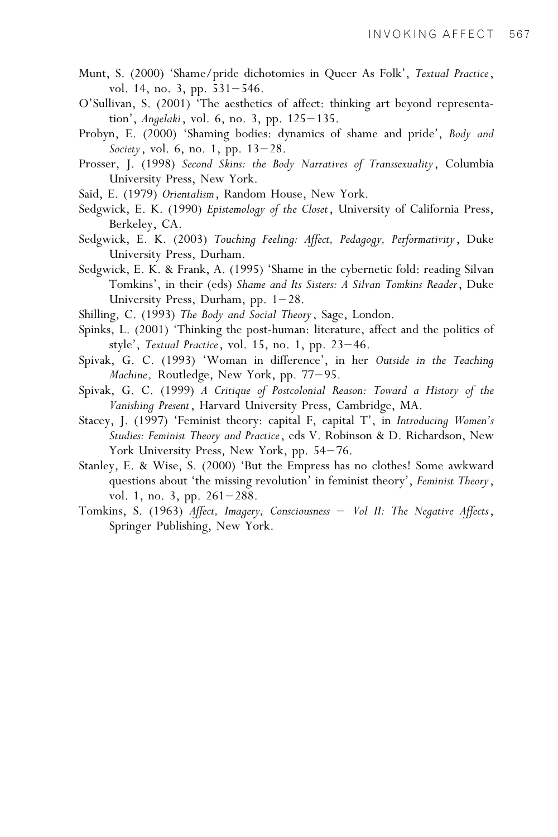- Munt, S. (2000) 'Shame/pride dichotomies in Queer As Folk', Textual Practice, vol. 14, no. 3, pp.  $531-546$ .
- O'Sullivan, S. (2001) 'The aesthetics of affect: thinking art beyond representation', Angelaki, vol. 6, no. 3, pp.  $125-135$ .
- Probyn, E. (2000) 'Shaming bodies: dynamics of shame and pride', Body and Society, vol. 6, no. 1, pp.  $13-28$ .
- Prosser, J. (1998) Second Skins: the Body Narratives of Transsexuality, Columbia University Press, New York.
- Said, E. (1979) Orientalism, Random House, New York.
- Sedgwick, E. K. (1990) Epistemology of the Closet, University of California Press, Berkeley, CA.
- Sedgwick, E. K. (2003) Touching Feeling: Affect, Pedagogy, Performativity, Duke University Press, Durham.
- Sedgwick, E. K. & Frank, A. (1995) 'Shame in the cybernetic fold: reading Silvan Tomkins', in their (eds) Shame and Its Sisters: A Silvan Tomkins Reader, Duke University Press, Durham, pp.  $1-28$ .
- Shilling, C. (1993) The Body and Social Theory, Sage, London.
- Spinks, L. (2001) 'Thinking the post-human: literature, affect and the politics of style', Textual Practice, vol. 15, no. 1, pp.  $23-46$ .
- Spivak, G. C. (1993) 'Woman in difference', in her Outside in the Teaching Machine, Routledge, New York, pp.  $77-95$ .
- Spivak, G. C. (1999) A Critique of Postcolonial Reason: Toward a History of the Vanishing Present, Harvard University Press, Cambridge, MA.
- Stacey, J. (1997) 'Feminist theory: capital F, capital T', in Introducing Women's Studies: Feminist Theory and Practice, eds V. Robinson & D. Richardson, New York University Press, New York, pp. 54-76.
- Stanley, E. & Wise, S. (2000) 'But the Empress has no clothes! Some awkward questions about 'the missing revolution' in feminist theory', Feminist Theory, vol. 1, no. 3, pp. 261–288.
- Tomkins, S. (1963) Affect, Imagery, Consciousness Vol II: The Negative Affects, Springer Publishing, New York.